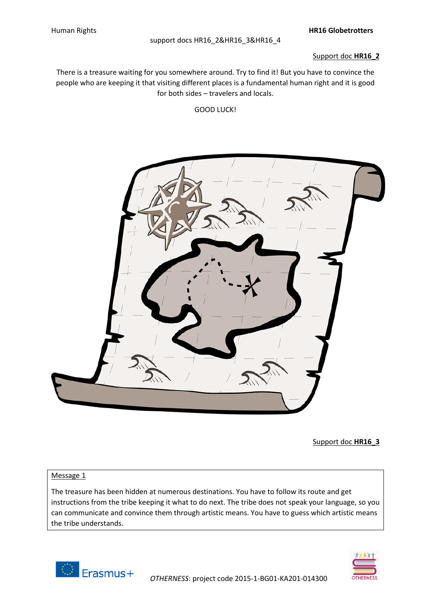#### Support doc **HR16\_2**

There is a treasure waiting for you somewhere around. Try to find it! But you have to convince the people who are keeping it that visiting different places is a fundamental human right and it is good for both sides – travelers and locals.

#### GOOD LUCK!



Support doc **HR16\_3**

## Message 1

The treasure has been hidden at numerous destinations. You have to follow its route and get instructions from the tribe keeping it what to do next. The tribe does not speak your language, so you can communicate and convince them through artistic means. You have to guess which artistic means the tribe understands.



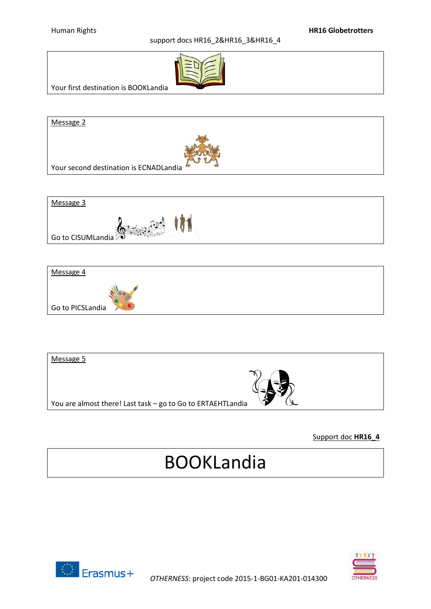

Your first destination is BOOKLandia

Message 2



Your second destination is ECNADLandia





| You are almost there! Last task - go to Go to ERTAEHTLandia | Message 5 |  |
|-------------------------------------------------------------|-----------|--|
|                                                             |           |  |

## Support doc **HR16\_4**

# BOOKLandia



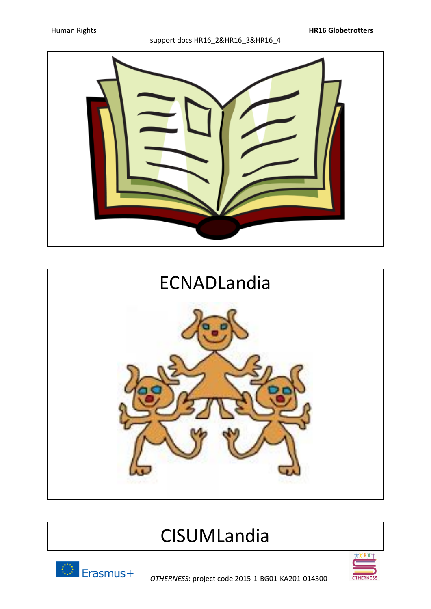



## CISUMLandia





*OTHERNESS*: project code 2015-1-BG01-KA201-014300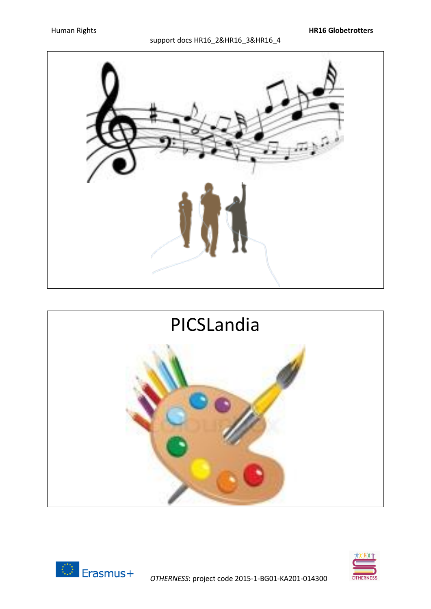